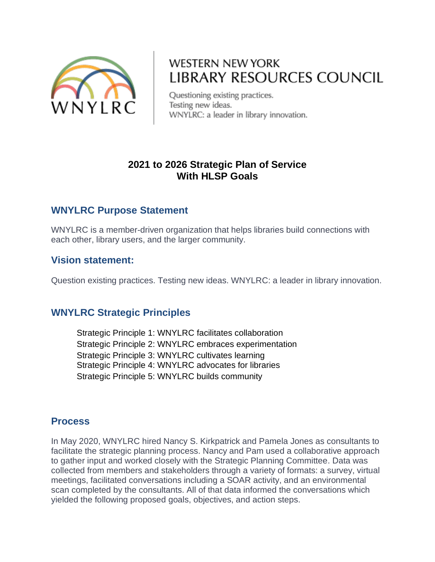

# **WESTERN NEW YORK** LIBRARY RESOURCES COUNCIL

Questioning existing practices. Testing new ideas. WNYLRC: a leader in library innovation.

### **2021 to 2026 Strategic Plan of Service With HLSP Goals**

### **WNYLRC Purpose Statement**

WNYLRC is a member-driven organization that helps libraries build connections with each other, library users, and the larger community.

### **Vision statement:**

Question existing practices. Testing new ideas. WNYLRC: a leader in library innovation.

## **WNYLRC Strategic Principles**

Strategic Principle 1: WNYLRC facilitates collaboration Strategic Principle 2: WNYLRC embraces experimentation Strategic Principle 3: WNYLRC cultivates learning Strategic Principle 4: WNYLRC advocates for libraries Strategic Principle 5: WNYLRC builds community

### **Process**

In May 2020, WNYLRC hired Nancy S. Kirkpatrick and Pamela Jones as consultants to facilitate the strategic planning process. Nancy and Pam used a collaborative approach to gather input and worked closely with the Strategic Planning Committee. Data was collected from members and stakeholders through a variety of formats: a survey, virtual meetings, facilitated conversations including a SOAR activity, and an environmental scan completed by the consultants. All of that data informed the conversations which yielded the following proposed goals, objectives, and action steps.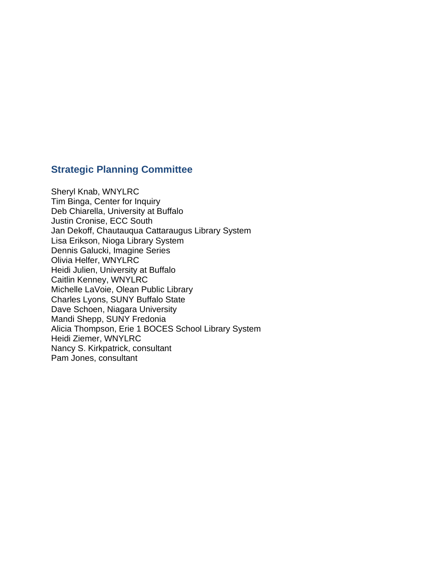# **Strategic Planning Committee**

Sheryl Knab, WNYLRC Tim Binga, Center for Inquiry Deb Chiarella, University at Buffalo Justin Cronise, ECC South Jan Dekoff, Chautauqua Cattaraugus Library System Lisa Erikson, Nioga Library System Dennis Galucki, Imagine Series Olivia Helfer, WNYLRC Heidi Julien, University at Buffalo Caitlin Kenney, WNYLRC Michelle LaVoie, Olean Public Library Charles Lyons, SUNY Buffalo State Dave Schoen, Niagara University Mandi Shepp, SUNY Fredonia Alicia Thompson, Erie 1 BOCES School Library System Heidi Ziemer, WNYLRC Nancy S. Kirkpatrick, consultant Pam Jones, consultant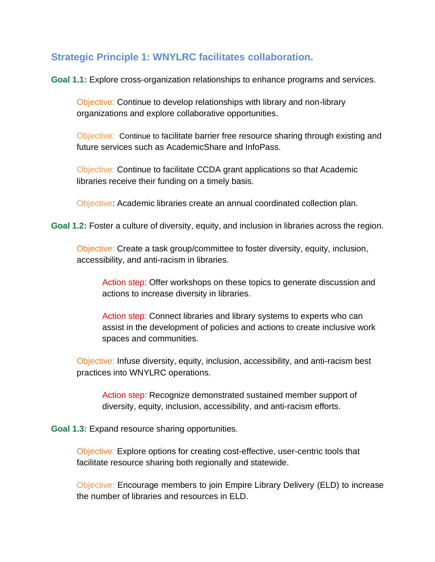### **Strategic Principle 1: WNYLRC facilitates collaboration.**

**Goal 1.1:** Explore cross-organization relationships to enhance programs and services.

Objective: Continue to develop relationships with library and non-library organizations and explore collaborative opportunities.

Objective: Continue to facilitate barrier free resource sharing through existing and future services such as AcademicShare and InfoPass.

Objective: Continue to facilitate CCDA grant applications so that Academic libraries receive their funding on a timely basis.

Objective: Academic libraries create an annual coordinated collection plan.

**Goal 1.2:** Foster a culture of diversity, equity, and inclusion in libraries across the region.

Objective: Create a task group/committee to foster diversity, equity, inclusion, accessibility, and anti-racism in libraries.

Action step: Offer workshops on these topics to generate discussion and actions to increase diversity in libraries.

Action step: Connect libraries and library systems to experts who can assist in the development of policies and actions to create inclusive work spaces and communities.

Objective: Infuse diversity, equity, inclusion, accessibility, and anti-racism best practices into WNYLRC operations.

Action step: Recognize demonstrated sustained member support of diversity, equity, inclusion, accessibility, and anti-racism efforts.

**Goal 1.3:** Expand resource sharing opportunities.

Objective: Explore options for creating cost-effective, user-centric tools that facilitate resource sharing both regionally and statewide.

Objective: Encourage members to join Empire Library Delivery (ELD) to increase the number of libraries and resources in ELD.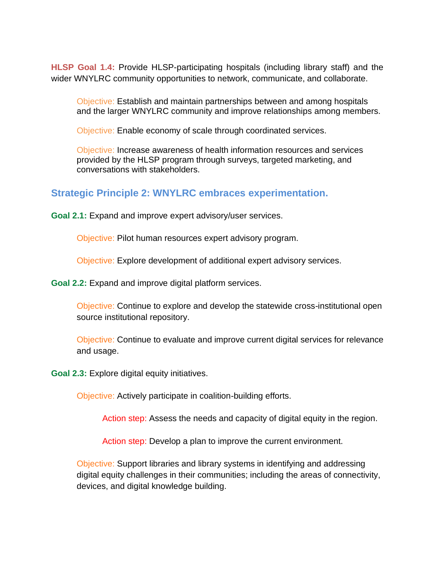**HLSP Goal 1.4:** Provide HLSP-participating hospitals (including library staff) and the wider WNYLRC community opportunities to network, communicate, and collaborate.

Objective: Establish and maintain partnerships between and among hospitals and the larger WNYLRC community and improve relationships among members.

Objective: Enable economy of scale through coordinated services.

Objective: Increase awareness of health information resources and services provided by the HLSP program through surveys, targeted marketing, and conversations with stakeholders.

### **Strategic Principle 2: WNYLRC embraces experimentation.**

**Goal 2.1:** Expand and improve expert advisory/user services.

Objective: Pilot human resources expert advisory program.

Objective: Explore development of additional expert advisory services.

**Goal 2.2:** Expand and improve digital platform services.

Objective: Continue to explore and develop the statewide cross-institutional open source institutional repository.

Objective: Continue to evaluate and improve current digital services for relevance and usage.

**Goal 2.3:** Explore digital equity initiatives.

Objective: Actively participate in coalition-building efforts.

Action step: Assess the needs and capacity of digital equity in the region.

Action step: Develop a plan to improve the current environment.

Objective: Support libraries and library systems in identifying and addressing digital equity challenges in their communities; including the areas of connectivity, devices, and digital knowledge building.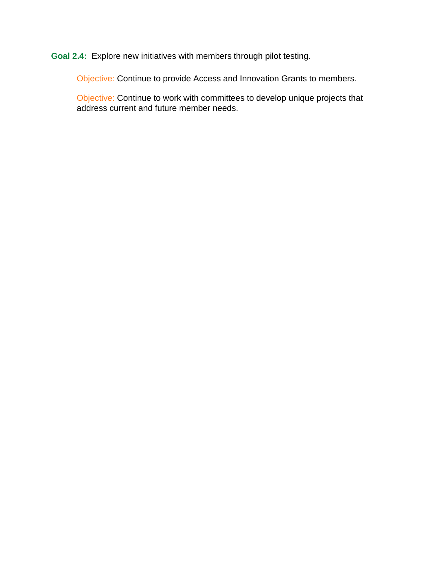**Goal 2.4:** Explore new initiatives with members through pilot testing.

Objective: Continue to provide Access and Innovation Grants to members.

Objective: Continue to work with committees to develop unique projects that address current and future member needs.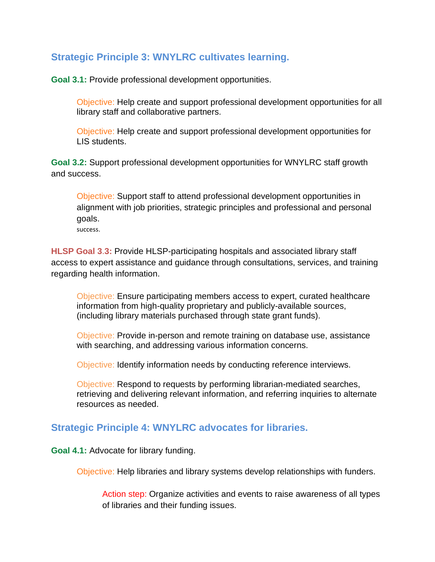### **Strategic Principle 3: WNYLRC cultivates learning.**

**Goal 3.1:** Provide professional development opportunities.

Objective: Help create and support professional development opportunities for all library staff and collaborative partners.

Objective: Help create and support professional development opportunities for LIS students.

**Goal 3.2:** Support professional development opportunities for WNYLRC staff growth and success.

Objective: Support staff to attend professional development opportunities in alignment with job priorities, strategic principles and professional and personal goals.

success.

**HLSP Goal 3**.**3:** Provide HLSP-participating hospitals and associated library staff access to expert assistance and guidance through consultations, services, and training regarding health information.

Objective: Ensure participating members access to expert, curated healthcare information from high-quality proprietary and publicly-available sources, (including library materials purchased through state grant funds).

Objective: Provide in-person and remote training on database use, assistance with searching, and addressing various information concerns.

Objective: Identify information needs by conducting reference interviews.

Objective: Respond to requests by performing librarian-mediated searches, retrieving and delivering relevant information, and referring inquiries to alternate resources as needed.

### **Strategic Principle 4: WNYLRC advocates for libraries.**

**Goal 4.1:** Advocate for library funding.

Objective: Help libraries and library systems develop relationships with funders.

Action step: Organize activities and events to raise awareness of all types of libraries and their funding issues.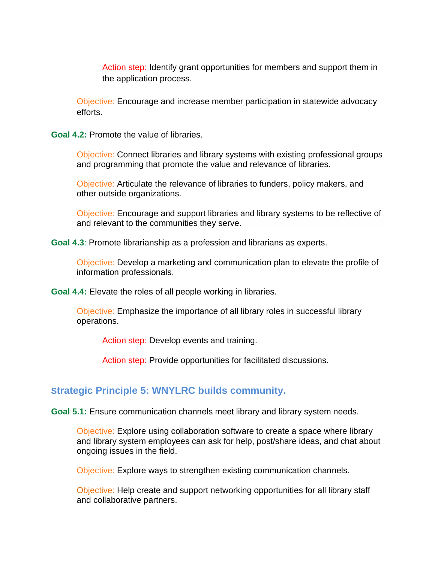Action step: Identify grant opportunities for members and support them in the application process.

Objective: Encourage and increase member participation in statewide advocacy efforts.

**Goal 4.2:** Promote the value of libraries.

Objective: Connect libraries and library systems with existing professional groups and programming that promote the value and relevance of libraries.

Objective: Articulate the relevance of libraries to funders, policy makers, and other outside organizations.

Objective: Encourage and support libraries and library systems to be reflective of and relevant to the communities they serve.

**Goal 4.3**: Promote librarianship as a profession and librarians as experts.

Objective: Develop a marketing and communication plan to elevate the profile of information professionals.

**Goal 4.4:** Elevate the roles of all people working in libraries.

Objective: Emphasize the importance of all library roles in successful library operations.

Action step: Develop events and training.

Action step: Provide opportunities for facilitated discussions.

#### **Strategic Principle 5: WNYLRC builds community.**

**Goal 5.1:** Ensure communication channels meet library and library system needs.

Objective: Explore using collaboration software to create a space where library and library system employees can ask for help, post/share ideas, and chat about ongoing issues in the field.

Objective: Explore ways to strengthen existing communication channels.

Objective: Help create and support networking opportunities for all library staff and collaborative partners.